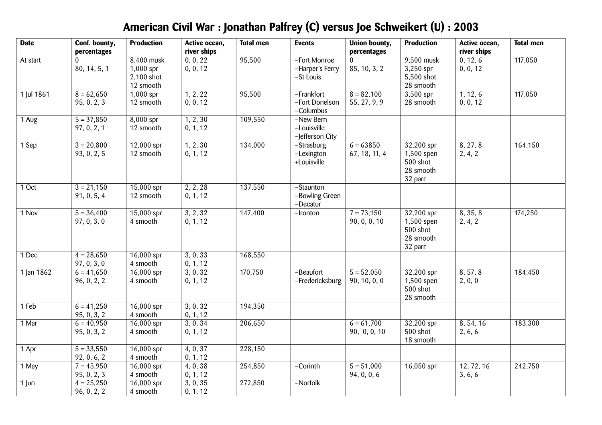| <b>Date</b> | Conf. bounty,<br>percentages | <b>Production</b>                                    | Active ocean,<br>river ships | <b>Total men</b> | <b>Events</b>                                | <b>Union bounty,</b><br>percentages | <b>Production</b>                                              | Active ocean,<br>river ships | <b>Total men</b> |
|-------------|------------------------------|------------------------------------------------------|------------------------------|------------------|----------------------------------------------|-------------------------------------|----------------------------------------------------------------|------------------------------|------------------|
| At start    | 80, 14, 5, 1                 | 8,400 musk<br>$1,000$ spr<br>2,100 shot<br>12 smooth | 0, 0, 22<br>0, 0, 12         | 95,500           | -Fort Monroe<br>-Harper's Ferry<br>-St Louis | 85, 10, 3, 2                        | 9,500 musk<br>$3,250$ spr<br>5,500 shot<br>28 smooth           | 0, 12, 6<br>0, 0, 12         | 117,050          |
| 1 Jul 1861  | $8 = 62,650$<br>95, 0, 2, 3  | $1,000$ spr<br>12 smooth                             | 1, 2, 22<br>0, 0, 12         | 95,500           | -Frankfort<br>-Fort Donelson<br>-Columbus    | $8 = 82,100$<br>55, 27, 9, 9        | $3,500$ spr<br>28 smooth                                       | 1, 12, 6<br>0, 0, 12         | 117,050          |
| 1 Aug       | $5 = 37,850$<br>97, 0, 2, 1  | $8,000$ spr<br>12 smooth                             | 1, 2, 30<br>0, 1, 12         | 109,550          | -New Bern<br>-Louisville<br>-Jefferson City  |                                     |                                                                |                              |                  |
| 1 Sep       | $3 = 20,800$<br>93, 0, 2, 5  | $12,000$ spr<br>12 smooth                            | 1, 2, 30<br>0, 1, 12         | 134,000          | -Strasburg<br>-Lexington<br>+Louisville      | $6 = 63850$<br>67, 18, 11, 4        | $32,200$ spr<br>1,500 spen<br>500 shot<br>28 smooth<br>32 parr | 8, 27, 8<br>2, 4, 2          | 164,150          |
| $1$ Oct     | $3 = 21,150$<br>91, 0, 5, 4  | $15,000$ spr<br>12 smooth                            | 2, 2, 28<br>0, 1, 12         | 137,550          | -Staunton<br>-Bowling Green<br>-Decatur      |                                     |                                                                |                              |                  |
| 1 Nov       | $5 = 36,400$<br>97, 0, 3, 0  | 15,000 spr<br>4 smooth                               | 3, 2, 32<br>0, 1, 12         | 147,400          | -Ironton                                     | $7 = 73,150$<br>90, 0, 0, 10        | 32,200 spr<br>1,500 spen<br>$500$ shot<br>28 smooth<br>32 parr | 8, 35, 8<br>2, 4, 2          | 174,250          |
| 1 Dec       | $4 = 28,650$<br>97, 0, 3, 0  | 16,000 spr<br>4 smooth                               | 3, 0, 33<br>0, 1, 12         | 168,550          |                                              |                                     |                                                                |                              |                  |
| 1 Jan 1862  | $6 = 41,650$<br>96, 0, 2, 2  | $16,000$ spr<br>4 smooth                             | 3, 0, 32<br>0, 1, 12         | 170,750          | -Beaufort<br>-Fredericksburg                 | $5 = 52,050$<br>90, 10, 0, 0        | 32,200 spr<br>$1,500$ spen<br>$500$ shot<br>28 smooth          | 8, 57, 8<br>2, 0, 0          | 184,450          |
| 1 Feb       | $6 = 41,250$<br>95, 0, 3, 2  | $16,000$ spr<br>4 smooth                             | 3, 0, 32<br>0, 1, 12         | 194,350          |                                              |                                     |                                                                |                              |                  |
| 1 Mar       | $6 = 40,950$<br>95, 0, 3, 2  | $16,000$ spr<br>4 smooth                             | 3, 0, 34<br>0, 1, 12         | 206,650          |                                              | $6 = 61,700$<br>90, 0, 0, 10        | $32,200$ spr<br>500 shot<br>18 smooth                          | 8, 54, 16<br>2, 6, 6         | 183,300          |
| 1 Apr       | $5 = 33,550$<br>92, 0, 6, 2  | $16,000$ spr<br>4 smooth                             | 4, 0, 37<br>0, 1, 12         | 228,150          |                                              |                                     |                                                                |                              |                  |
| 1 May       | $7 = 45,950$<br>95, 0, 2, 3  | 16,000 spr<br>4 smooth                               | 4, 0, 38<br>0, 1, 12         | 254,850          | $-Corinth$                                   | $5 = 51,000$<br>94, 0, 0, 6         | 16,050 spr                                                     | 12, 72, 16<br>3, 6, 6        | 242,750          |
| $1$ Jun     | $4 = 25,250$<br>96, 0, 2, 2  | 16,000 spr<br>4 smooth                               | 3, 0, 35<br>0, 1, 12         | 272,850          | -Norfolk                                     |                                     |                                                                |                              |                  |

## **American Civil War : Jonathan Palfrey (C) versus Joe Schweikert (U) : 2003**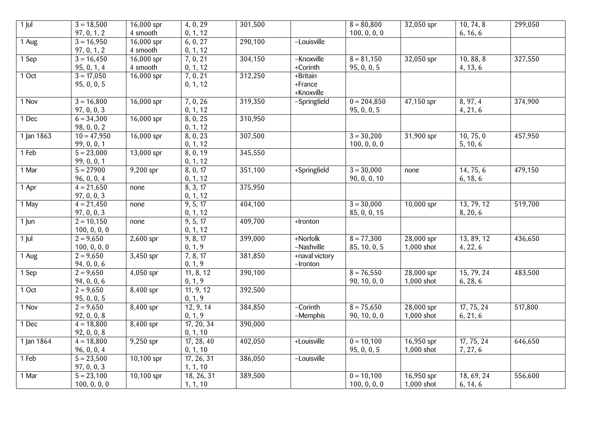| $1$ Jul    | $3 = 18,500$  | $16,000$ spr | 4, 0, 29   | 301,500 |                | $8 = 80,800$  | 32,050 spr   | 10, 74, 8  | 299,050 |
|------------|---------------|--------------|------------|---------|----------------|---------------|--------------|------------|---------|
|            | 97, 0, 1, 2   | 4 smooth     | 0, 1, 12   |         |                | 100, 0, 0, 0  |              | 6, 16, 6   |         |
| 1 Aug      | $3 = 16,950$  | $16,000$ spr | 6, 0, 27   | 290,100 | -Louisville    |               |              |            |         |
|            | 97, 0, 1, 2   | 4 smooth     | 0, 1, 12   |         |                |               |              |            |         |
| 1 Sep      | $3 = 16,450$  | $16,000$ spr | 7, 0, 21   | 304,150 | -Knoxville     | $8 = 81,150$  | $32,050$ spr | 10, 88, 8  | 327,550 |
|            | 95, 0, 1, 4   | 4 smooth     | 0, 1, 12   |         | +Corinth       | 95, 0, 0, 5   |              | 4, 13, 6   |         |
| 10ct       | $3 = 17,050$  | $16,000$ spr | 7, 0, 21   | 312,250 | +Britain       |               |              |            |         |
|            | 95, 0, 0, 5   |              | 0, 1, 12   |         | +France        |               |              |            |         |
|            |               |              |            |         | +Knoxville     |               |              |            |         |
| 1 Nov      | $3 = 16,800$  | 16,000 spr   | 7, 0, 26   | 319,350 | -Springfield   | $0 = 204,850$ | 47,150 spr   | 8, 97, 4   | 374,900 |
|            | 97, 0, 0, 3   |              | 0, 1, 12   |         |                | 95, 0, 0, 5   |              | 4, 21, 6   |         |
| 1 Dec      | $6 = 34,300$  | $16,000$ spr | 8, 0, 25   | 310,950 |                |               |              |            |         |
|            | 98, 0, 0, 2   |              | 0, 1, 12   |         |                |               |              |            |         |
| 1 Jan 1863 | $10 = 47,950$ | 16,000 spr   | 8, 0, 23   | 307,500 |                | $3 = 30,200$  | 31,900 spr   | 10, 75, 0  | 457,950 |
|            | 99, 0, 0, 1   |              | 0, 1, 12   |         |                | 100, 0, 0, 0  |              | 5, 10, 6   |         |
| 1 Feb      | $5 = 23,000$  | $13,000$ spr | 8, 0, 19   | 345,550 |                |               |              |            |         |
|            | 99, 0, 0, 1   |              | 0, 1, 12   |         |                |               |              |            |         |
| 1 Mar      | $5 = 27900$   | 9,200 spr    | 8, 0, 17   | 351,100 | +Springfield   | $3 = 30,000$  | none         | 14, 75, 6  | 479,150 |
|            | 96, 0, 0, 4   |              | 0, 1, 12   |         |                | 90, 0, 0, 10  |              | 6, 18, 6   |         |
| 1 Apr      | $4 = 21,650$  | none         | 8, 3, 17   | 375,950 |                |               |              |            |         |
|            | 97, 0, 0, 3   |              | 0, 1, 12   |         |                |               |              |            |         |
| 1 May      | $4 = 21,450$  | none         | 9, 5, 17   | 404,100 |                | $3 = 30,000$  | $10,000$ spr | 13, 79, 12 | 519,700 |
|            | 97, $0, 0, 3$ |              | 0, 1, 12   |         |                | 85, 0, 0, 15  |              | 8, 20, 6   |         |
| $1 \mu n$  | $2 = 10,150$  | none         | 9, 5, 17   | 409,700 | +Ironton       |               |              |            |         |
|            | 100, 0, 0, 0  |              | 0, 1, 12   |         |                |               |              |            |         |
| $1$ Jul    | $2 = 9,650$   | $2,600$ spr  | 9, 8, 17   | 399,000 | +Norfolk       | $8 = 77,300$  | $28,000$ spr | 13, 89, 12 | 436,650 |
|            | 100, 0, 0, 0  |              | 0, 1, 9    |         | -Nashville     | 85, 10, 0, 5  | 1,000 shot   | 4, 22, 6   |         |
| 1 Aug      | $2 = 9,650$   | $3,450$ spr  | 7, 8, 17   | 381,850 | +naval victory |               |              |            |         |
|            | 94, 0, 0, 6   |              | 0, 1, 9    |         | -Ironton       |               |              |            |         |
| 1 Sep      | $2 = 9,650$   | $4,050$ spr  | 11, 8, 12  | 390,100 |                | $8 = 76,550$  | $28,000$ spr | 15, 79, 24 | 483,500 |
|            | 94, 0, 0, 6   |              | 0, 1, 9    |         |                | 90, 10, 0, 0  | 1,000 shot   | 6, 28, 6   |         |
| $1$ Oct    | $2 = 9,650$   | $8,400$ spr  | 11, 9, 12  | 392,500 |                |               |              |            |         |
|            | 95, 0, 0, 5   |              | 0, 1, 9    |         |                |               |              |            |         |
| 1 Nov      | $2 = 9,650$   | $8,400$ spr  | 12, 9, 14  | 384,850 | -Corinth       | $8 = 75,650$  | $28,000$ spr | 17, 75, 24 | 517,800 |
|            | 92, 0, 0, 8   |              | 0, 1, 9    |         | -Memphis       | 90, 10, 0, 0  | $1,000$ shot | 6, 21, 6   |         |
| 1 Dec      | $4 = 18,800$  | $8,400$ spr  | 17, 20, 34 | 390,000 |                |               |              |            |         |
|            | 92, 0, 0, 8   |              | 0, 1, 10   |         |                |               |              |            |         |
| 1 Jan 1864 | $4 = 18,800$  | $9,250$ spr  | 17, 28, 40 | 402,050 | +Louisville    | $0 = 10,100$  | 16,950 spr   | 17, 75, 24 | 646,650 |
|            | 96, 0, 0, 4   |              | 0, 1, 10   |         |                | 95, 0, 0, 5   | $1,000$ shot | 7, 27, 6   |         |
| 1 Feb      | $5 = 23,500$  | $10,100$ spr | 17, 26, 31 | 386,050 | -Louisville    |               |              |            |         |
|            | 97, 0, 0, 3   |              | 1, 1, 10   |         |                |               |              |            |         |
| 1 Mar      | $5 = 23,100$  | $10,100$ spr | 18, 26, 31 | 389,500 |                | $0 = 10,100$  | 16,950 spr   | 18, 69, 24 | 556,600 |
|            | 100, 0, 0, 0  |              | 1, 1, 10   |         |                | 100, 0, 0, 0  | 1,000 shot   | 6, 14, 6   |         |